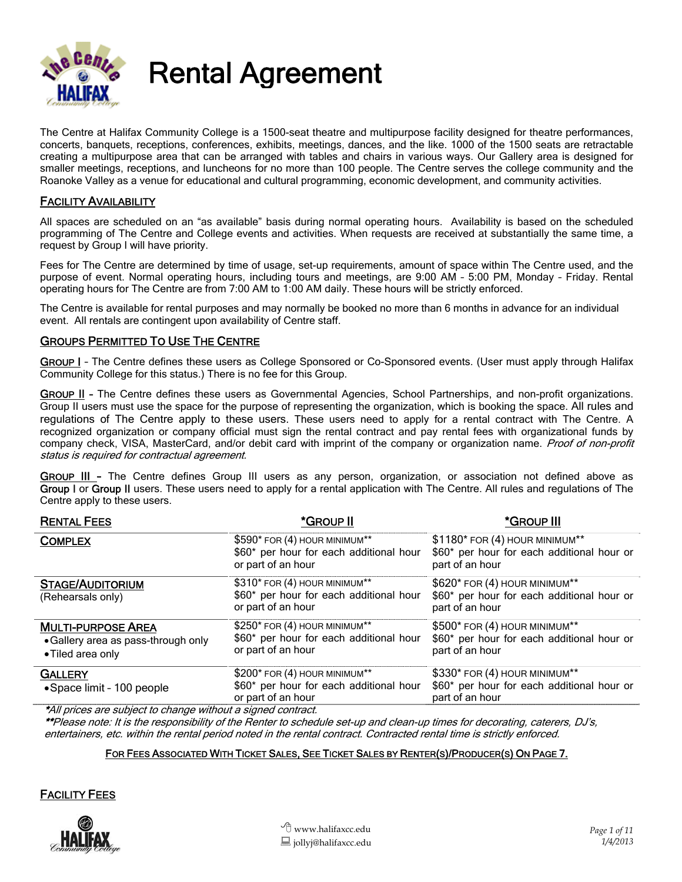

# Rental Agreement

The Centre at Halifax Community College is a 1500-seat theatre and multipurpose facility designed for theatre performances, concerts, banquets, receptions, conferences, exhibits, meetings, dances, and the like. 1000 of the 1500 seats are retractable creating a multipurpose area that can be arranged with tables and chairs in various ways. Our Gallery area is designed for smaller meetings, receptions, and luncheons for no more than 100 people. The Centre serves the college community and the Roanoke Valley as a venue for educational and cultural programming, economic development, and community activities.

#### FACILITY AVAILABILITY

All spaces are scheduled on an "as available" basis during normal operating hours. Availability is based on the scheduled programming of The Centre and College events and activities. When requests are received at substantially the same time, a request by Group I will have priority.

Fees for The Centre are determined by time of usage, set-up requirements, amount of space within The Centre used, and the purpose of event. Normal operating hours, including tours and meetings, are 9:00 AM – 5:00 PM, Monday – Friday. Rental operating hours for The Centre are from 7:00 AM to 1:00 AM daily. These hours will be strictly enforced.

The Centre is available for rental purposes and may normally be booked no more than 6 months in advance for an individual event. All rentals are contingent upon availability of Centre staff.

#### GROUPS PERMITTED TO USE THE CENTRE

GROUP I - The Centre defines these users as College Sponsored or Co-Sponsored events. (User must apply through Halifax Community College for this status.) There is no fee for this Group.

GROUP II - The Centre defines these users as Governmental Agencies, School Partnerships, and non-profit organizations. Group II users must use the space for the purpose of representing the organization, which is booking the space. All rules and regulations of The Centre apply to these users. These users need to apply for a rental contract with The Centre. A recognized organization or company official must sign the rental contract and pay rental fees with organizational funds by company check, VISA, MasterCard, and/or debit card with imprint of the company or organization name. Proof of non-profit status is required for contractual agreement.

GROUP III - The Centre defines Group III users as any person, organization, or association not defined above as Group I or Group II users. These users need to apply for a rental application with The Centre. All rules and regulations of The Centre apply to these users.

| <b>RENTAL FEES</b>                                                                    | *GROUP II                                                                                       | *GROUP III                                                                                                    |
|---------------------------------------------------------------------------------------|-------------------------------------------------------------------------------------------------|---------------------------------------------------------------------------------------------------------------|
| <b>COMPLEX</b>                                                                        | $$590*$ FOR (4) HOUR MINIMUM**<br>\$60* per hour for each additional hour<br>or part of an hour | $$1180$ * FOR (4) HOUR MINIMUM <sup>**</sup><br>\$60* per hour for each additional hour or<br>part of an hour |
| <b>STAGE/AUDITORIUM</b><br>(Rehearsals only)                                          | \$310* FOR (4) HOUR MINIMUM**<br>\$60* per hour for each additional hour<br>or part of an hour  | \$620* FOR (4) HOUR MINIMUM**<br>\$60* per hour for each additional hour or<br>part of an hour                |
| <b>MULTI-PURPOSE AREA</b><br>• Gallery area as pass-through only<br>• Tiled area only | \$250* FOR (4) HOUR MINIMUM**<br>\$60* per hour for each additional hour<br>or part of an hour  | \$500* FOR (4) HOUR MINIMUM**<br>\$60* per hour for each additional hour or<br>part of an hour                |
| <b>GALLERY</b><br>• Space limit - 100 people                                          | $$200*$ FOR (4) HOUR MINIMUM**<br>\$60* per hour for each additional hour<br>or part of an hour | \$330* FOR (4) HOUR MINIMUM**<br>\$60* per hour for each additional hour or<br>part of an hour                |
| * All putan a non acchiant to above an culture of a since of a southeast              |                                                                                                 |                                                                                                               |

\*All prices are subject to change without a signed contract.

\*\*Please note: It is the responsibility of the Renter to schedule set-up and clean-up times for decorating, caterers, DJ's, entertainers, etc. within the rental period noted in the rental contract. Contracted rental time is strictly enforced.

#### FOR FEES ASSOCIATED WITH TICKET SALES, SEE TICKET SALES BY RENTER(S)/PRODUCER(S) ON PAGE 7.

#### FACILITY FEES

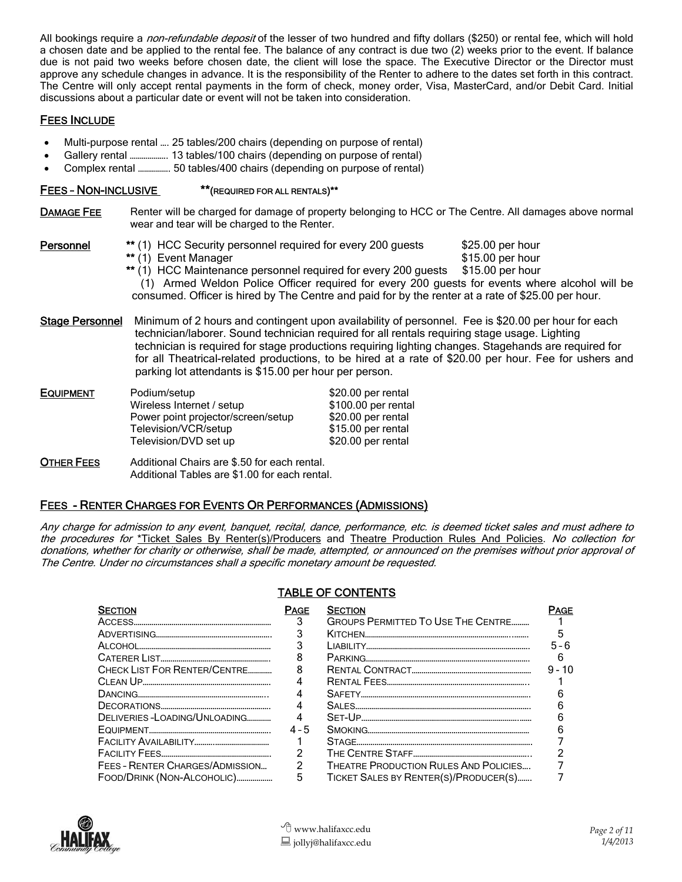All bookings require a *non-refundable deposit* of the lesser of two hundred and fifty dollars (\$250) or rental fee, which will hold a chosen date and be applied to the rental fee. The balance of any contract is due two (2) weeks prior to the event. If balance due is not paid two weeks before chosen date, the client will lose the space. The Executive Director or the Director must approve any schedule changes in advance. It is the responsibility of the Renter to adhere to the dates set forth in this contract. The Centre will only accept rental payments in the form of check, money order, Visa, MasterCard, and/or Debit Card. Initial discussions about a particular date or event will not be taken into consideration.

#### FEES INCLUDE

- Multi-purpose rental …. 25 tables/200 chairs (depending on purpose of rental)
- Gallery rental ………………. 13 tables/100 chairs (depending on purpose of rental)
- Complex rental ……………. 50 tables/400 chairs (depending on purpose of rental)

#### FEES – NON-INCLUSIVE \*\*(REQUIRED FOR ALL RENTALS)\*\*

DAMAGE FEE Renter will be charged for damage of property belonging to HCC or The Centre. All damages above normal wear and tear will be charged to the Renter.

- Personnel \*\* (1) HCC Security personnel required for every 200 guests \$25.00 per hour<br>
\*\* (1) Event Manager \$15.00 per hour  $**$  $(1)$  Event Manager
	-
	- $*$  (1) HCC Maintenance personnel required for every 200 guests  $$15.00$  per hour (1) Armed Weldon Police Officer required for every 200 guests for events where alcohol will be

consumed. Officer is hired by The Centre and paid for by the renter at a rate of \$25.00 per hour.

Stage Personnel Minimum of 2 hours and contingent upon availability of personnel. Fee is \$20.00 per hour for each technician/laborer. Sound technician required for all rentals requiring stage usage. Lighting technician is required for stage productions requiring lighting changes. Stagehands are required for for all Theatrical-related productions, to be hired at a rate of \$20.00 per hour. Fee for ushers and parking lot attendants is \$15.00 per hour per person.

| <b>EQUIPMENT</b> | Podium/setup                       | \$20.00 per rental  |
|------------------|------------------------------------|---------------------|
|                  | Wireless Internet / setup          | \$100.00 per rental |
|                  | Power point projector/screen/setup | \$20.00 per rental  |
|                  | Television/VCR/setup               | \$15.00 per rental  |
|                  | Television/DVD set up              | \$20.00 per rental  |
|                  |                                    |                     |

OTHER FEES Additional Chairs are \$.50 for each rental. Additional Tables are \$1.00 for each rental.

#### FEES - RENTER CHARGES FOR EVENTS OR PERFORMANCES (ADMISSIONS)

Any charge for admission to any event, banquet, recital, dance, performance, etc. is deemed ticket sales and must adhere to the procedures for \*Ticket Sales By Renter(s)/Producers and Theatre Production Rules And Policies. No collection for donations, whether for charity or otherwise, shall be made, attempted, or announced on the premises without prior approval of The Centre. Under no circumstances shall a specific monetary amount be requested.

| <b>SECTION</b>                  | PAGE    | <b>SECTION</b>                            | -AGE     |
|---------------------------------|---------|-------------------------------------------|----------|
|                                 |         | <b>GROUPS PERMITTED TO USE THE CENTRE</b> |          |
|                                 |         |                                           |          |
|                                 |         |                                           | $5 - 6$  |
|                                 |         |                                           |          |
| CHECK LIST FOR RENTER/CENTRE    |         |                                           | $9 - 10$ |
|                                 |         |                                           |          |
|                                 |         |                                           |          |
|                                 |         |                                           |          |
| DELIVERIES-LOADING/UNLOADING    |         |                                           |          |
|                                 | $4 - 5$ |                                           |          |
|                                 |         |                                           |          |
|                                 | っ       |                                           |          |
| FEES - RENTER CHARGES/ADMISSION | 2       | THEATRE PRODUCTION RULES AND POLICIES     |          |
| FOOD/DRINK (NON-ALCOHOLIC)      | 5       | TICKET SALES BY RENTER(S)/PRODUCER(S)     |          |

#### TABLE OF CONTENTS

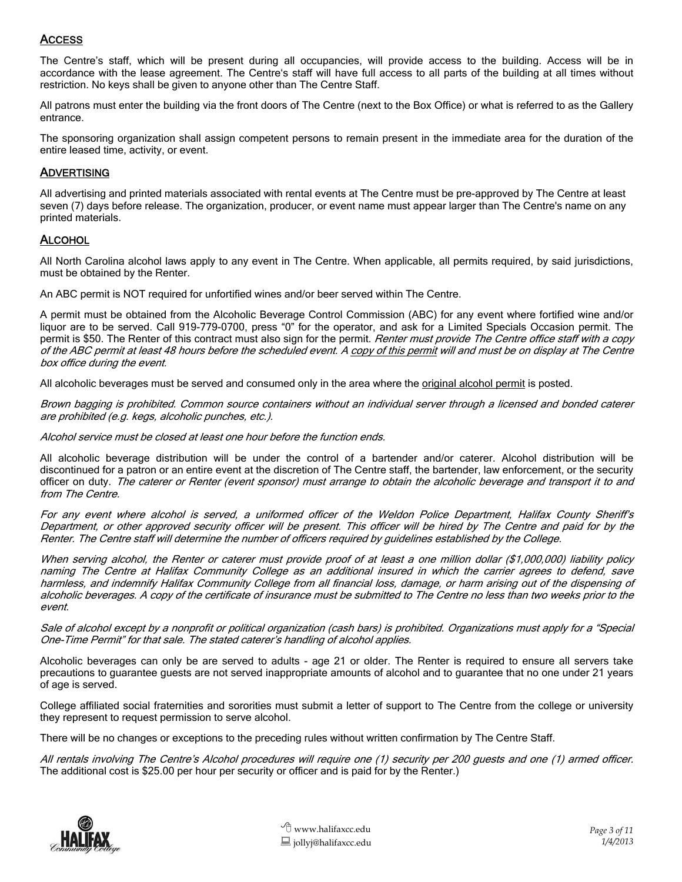#### ACCESS

The Centre's staff, which will be present during all occupancies, will provide access to the building. Access will be in accordance with the lease agreement. The Centre's staff will have full access to all parts of the building at all times without restriction. No keys shall be given to anyone other than The Centre Staff.

All patrons must enter the building via the front doors of The Centre (next to the Box Office) or what is referred to as the Gallery entrance.

The sponsoring organization shall assign competent persons to remain present in the immediate area for the duration of the entire leased time, activity, or event.

#### **ADVERTISING**

All advertising and printed materials associated with rental events at The Centre must be pre-approved by The Centre at least seven (7) days before release. The organization, producer, or event name must appear larger than The Centre's name on any printed materials.

#### **ALCOHOL**

All North Carolina alcohol laws apply to any event in The Centre. When applicable, all permits required, by said jurisdictions, must be obtained by the Renter.

An ABC permit is NOT required for unfortified wines and/or beer served within The Centre.

A permit must be obtained from the Alcoholic Beverage Control Commission (ABC) for any event where fortified wine and/or liquor are to be served. Call 919-779-0700, press "0" for the operator, and ask for a Limited Specials Occasion permit. The permit is \$50. The Renter of this contract must also sign for the permit. Renter must provide The Centre office staff with a copy of the ABC permit at least 48 hours before the scheduled event. A copy of this permit will and must be on display at The Centre box office during the event.

All alcoholic beverages must be served and consumed only in the area where the original alcohol permit is posted.

Brown bagging is prohibited. Common source containers without an individual server through a licensed and bonded caterer are prohibited (e.g. kegs, alcoholic punches, etc.).

Alcohol service must be closed at least one hour before the function ends.

All alcoholic beverage distribution will be under the control of a bartender and/or caterer. Alcohol distribution will be discontinued for a patron or an entire event at the discretion of The Centre staff, the bartender, law enforcement, or the security officer on duty. The caterer or Renter (event sponsor) must arrange to obtain the alcoholic beverage and transport it to and from The Centre.

For any event where alcohol is served, a uniformed officer of the Weldon Police Department, Halifax County Sheriff's Department, or other approved security officer will be present. This officer will be hired by The Centre and paid for by the Renter. The Centre staff will determine the number of officers required by guidelines established by the College.

When serving alcohol, the Renter or caterer must provide proof of at least a one million dollar (\$1,000,000) liability policy naming The Centre at Halifax Community College as an additional insured in which the carrier agrees to defend, save harmless, and indemnify Halifax Community College from all financial loss, damage, or harm arising out of the dispensing of alcoholic beverages. A copy of the certificate of insurance must be submitted to The Centre no less than two weeks prior to the event.

Sale of alcohol except by a nonprofit or political organization (cash bars) is prohibited. Organizations must apply for a "Special One-Time Permit" for that sale. The stated caterer's handling of alcohol applies.

Alcoholic beverages can only be are served to adults - age 21 or older. The Renter is required to ensure all servers take precautions to guarantee guests are not served inappropriate amounts of alcohol and to guarantee that no one under 21 years of age is served.

College affiliated social fraternities and sororities must submit a letter of support to The Centre from the college or university they represent to request permission to serve alcohol.

There will be no changes or exceptions to the preceding rules without written confirmation by The Centre Staff.

All rentals involving The Centre's Alcohol procedures will require one (1) security per 200 guests and one (1) armed officer. The additional cost is \$25.00 per hour per security or officer and is paid for by the Renter.)

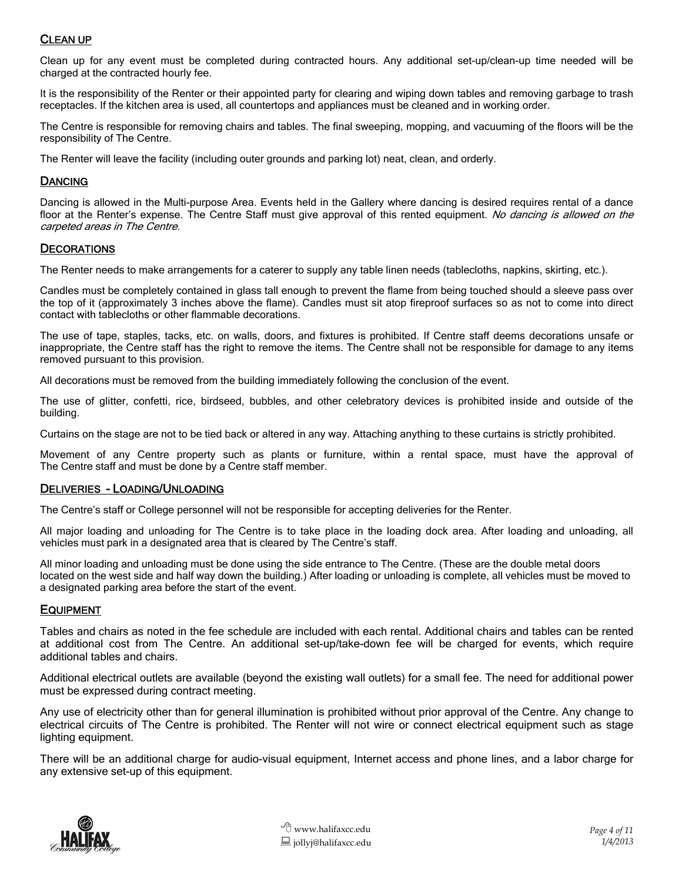#### CLEAN UP

Clean up for any event must be completed during contracted hours. Any additional set-up/clean-up time needed will be charged at the contracted hourly fee.

It is the responsibility of the Renter or their appointed party for clearing and wiping down tables and removing garbage to trash receptacles. If the kitchen area is used, all countertops and appliances must be cleaned and in working order.

The Centre is responsible for removing chairs and tables. The final sweeping, mopping, and vacuuming of the floors will be the responsibility of The Centre.

The Renter will leave the facility (including outer grounds and parking lot) neat, clean, and orderly.

#### **DANCING**

Dancing is allowed in the Multi-purpose Area. Events held in the Gallery where dancing is desired requires rental of a dance floor at the Renter's expense. The Centre Staff must give approval of this rented equipment. No dancing is allowed on the carpeted areas in The Centre.

#### **DECORATIONS**

The Renter needs to make arrangements for a caterer to supply any table linen needs (tablecloths, napkins, skirting, etc.).

Candles must be completely contained in glass tall enough to prevent the flame from being touched should a sleeve pass over the top of it (approximately 3 inches above the flame). Candles must sit atop fireproof surfaces so as not to come into direct contact with tablecloths or other flammable decorations.

The use of tape, staples, tacks, etc. on walls, doors, and fixtures is prohibited. If Centre staff deems decorations unsafe or inappropriate, the Centre staff has the right to remove the items. The Centre shall not be responsible for damage to any items removed pursuant to this provision.

All decorations must be removed from the building immediately following the conclusion of the event.

The use of glitter, confetti, rice, birdseed, bubbles, and other celebratory devices is prohibited inside and outside of the building.

Curtains on the stage are not to be tied back or altered in any way. Attaching anything to these curtains is strictly prohibited.

Movement of any Centre property such as plants or furniture, within a rental space, must have the approval of The Centre staff and must be done by a Centre staff member.

#### DELIVERIES - LOADING/UNLOADING

The Centre's staff or College personnel will not be responsible for accepting deliveries for the Renter.

All major loading and unloading for The Centre is to take place in the loading dock area. After loading and unloading, all vehicles must park in a designated area that is cleared by The Centre's staff.

All minor loading and unloading must be done using the side entrance to The Centre. (These are the double metal doors located on the west side and half way down the building.) After loading or unloading is complete, all vehicles must be moved to a designated parking area before the start of the event.

#### EQUIPMENT

Tables and chairs as noted in the fee schedule are included with each rental. Additional chairs and tables can be rented at additional cost from The Centre. An additional set-up/take-down fee will be charged for events, which require additional tables and chairs.

Additional electrical outlets are available (beyond the existing wall outlets) for a small fee. The need for additional power must be expressed during contract meeting.

Any use of electricity other than for general illumination is prohibited without prior approval of the Centre. Any change to electrical circuits of The Centre is prohibited. The Renter will not wire or connect electrical equipment such as stage lighting equipment.

There will be an additional charge for audio-visual equipment, Internet access and phone lines, and a labor charge for any extensive set-up of this equipment.

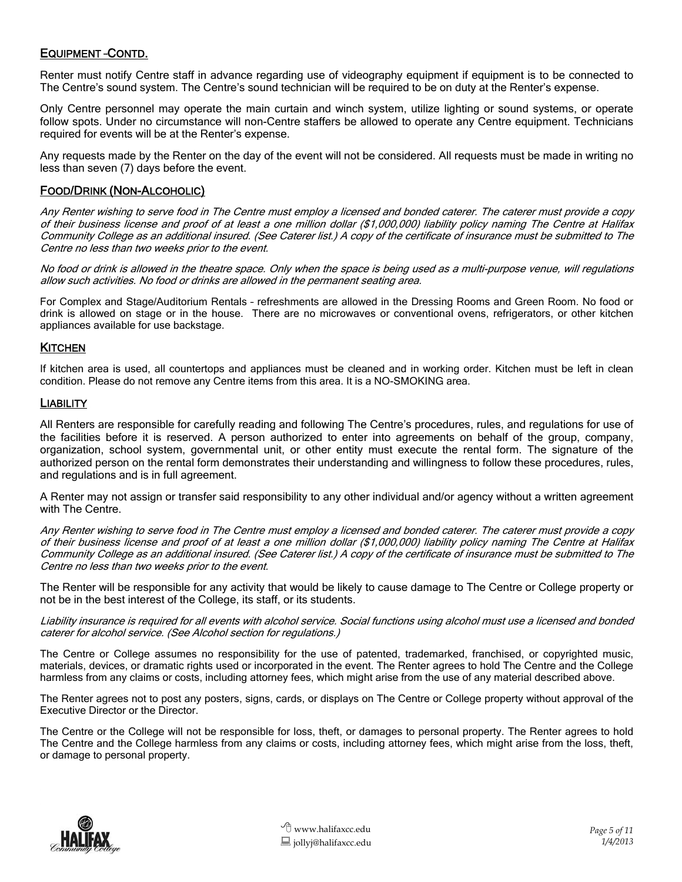#### EQUIPMENT –CONTD.

Renter must notify Centre staff in advance regarding use of videography equipment if equipment is to be connected to The Centre's sound system. The Centre's sound technician will be required to be on duty at the Renter's expense.

Only Centre personnel may operate the main curtain and winch system, utilize lighting or sound systems, or operate follow spots. Under no circumstance will non-Centre staffers be allowed to operate any Centre equipment. Technicians required for events will be at the Renter's expense.

Any requests made by the Renter on the day of the event will not be considered. All requests must be made in writing no less than seven (7) days before the event.

#### FOOD/DRINK (NON-ALCOHOLIC)

Any Renter wishing to serve food in The Centre must employ a licensed and bonded caterer. The caterer must provide a copy of their business license and proof of at least a one million dollar (\$1,000,000) liability policy naming The Centre at Halifax Community College as an additional insured. (See Caterer list.) A copy of the certificate of insurance must be submitted to The Centre no less than two weeks prior to the event.

No food or drink is allowed in the theatre space. Only when the space is being used as a multi-purpose venue, will regulations allow such activities. No food or drinks are allowed in the permanent seating area.

For Complex and Stage/Auditorium Rentals – refreshments are allowed in the Dressing Rooms and Green Room. No food or drink is allowed on stage or in the house. There are no microwaves or conventional ovens, refrigerators, or other kitchen appliances available for use backstage.

#### **KITCHEN**

If kitchen area is used, all countertops and appliances must be cleaned and in working order. Kitchen must be left in clean condition. Please do not remove any Centre items from this area. It is a NO-SMOKING area.

#### **LIABILITY**

All Renters are responsible for carefully reading and following The Centre's procedures, rules, and regulations for use of the facilities before it is reserved. A person authorized to enter into agreements on behalf of the group, company, organization, school system, governmental unit, or other entity must execute the rental form. The signature of the authorized person on the rental form demonstrates their understanding and willingness to follow these procedures, rules, and regulations and is in full agreement.

A Renter may not assign or transfer said responsibility to any other individual and/or agency without a written agreement with The Centre.

Any Renter wishing to serve food in The Centre must employ a licensed and bonded caterer. The caterer must provide a copy of their business license and proof of at least a one million dollar (\$1,000,000) liability policy naming The Centre at Halifax Community College as an additional insured. (See Caterer list.) A copy of the certificate of insurance must be submitted to The Centre no less than two weeks prior to the event.

The Renter will be responsible for any activity that would be likely to cause damage to The Centre or College property or not be in the best interest of the College, its staff, or its students.

Liability insurance is required for all events with alcohol service. Social functions using alcohol must use a licensed and bonded caterer for alcohol service. (See Alcohol section for regulations.)

The Centre or College assumes no responsibility for the use of patented, trademarked, franchised, or copyrighted music, materials, devices, or dramatic rights used or incorporated in the event. The Renter agrees to hold The Centre and the College harmless from any claims or costs, including attorney fees, which might arise from the use of any material described above.

The Renter agrees not to post any posters, signs, cards, or displays on The Centre or College property without approval of the Executive Director or the Director.

The Centre or the College will not be responsible for loss, theft, or damages to personal property. The Renter agrees to hold The Centre and the College harmless from any claims or costs, including attorney fees, which might arise from the loss, theft, or damage to personal property.

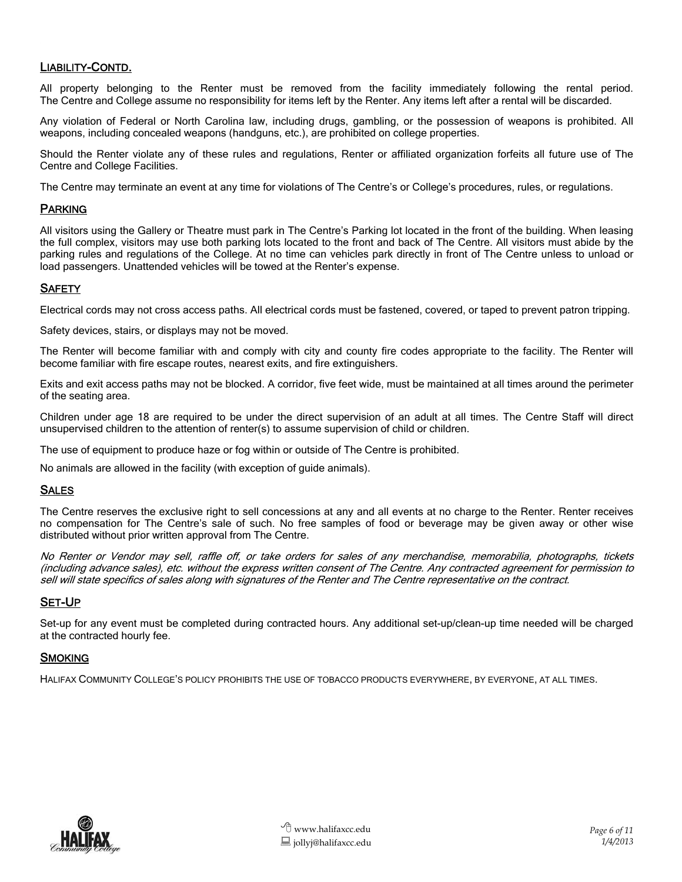#### LIABILITY-CONTD.

All property belonging to the Renter must be removed from the facility immediately following the rental period. The Centre and College assume no responsibility for items left by the Renter. Any items left after a rental will be discarded.

Any violation of Federal or North Carolina law, including drugs, gambling, or the possession of weapons is prohibited. All weapons, including concealed weapons (handguns, etc.), are prohibited on college properties.

Should the Renter violate any of these rules and regulations, Renter or affiliated organization forfeits all future use of The Centre and College Facilities.

The Centre may terminate an event at any time for violations of The Centre's or College's procedures, rules, or regulations.

#### PARKING

All visitors using the Gallery or Theatre must park in The Centre's Parking lot located in the front of the building. When leasing the full complex, visitors may use both parking lots located to the front and back of The Centre. All visitors must abide by the parking rules and regulations of the College. At no time can vehicles park directly in front of The Centre unless to unload or load passengers. Unattended vehicles will be towed at the Renter's expense.

#### **SAFETY**

Electrical cords may not cross access paths. All electrical cords must be fastened, covered, or taped to prevent patron tripping.

Safety devices, stairs, or displays may not be moved.

The Renter will become familiar with and comply with city and county fire codes appropriate to the facility. The Renter will become familiar with fire escape routes, nearest exits, and fire extinguishers.

Exits and exit access paths may not be blocked. A corridor, five feet wide, must be maintained at all times around the perimeter of the seating area.

Children under age 18 are required to be under the direct supervision of an adult at all times. The Centre Staff will direct unsupervised children to the attention of renter(s) to assume supervision of child or children.

The use of equipment to produce haze or fog within or outside of The Centre is prohibited.

No animals are allowed in the facility (with exception of guide animals).

#### SALES

The Centre reserves the exclusive right to sell concessions at any and all events at no charge to the Renter. Renter receives no compensation for The Centre's sale of such. No free samples of food or beverage may be given away or other wise distributed without prior written approval from The Centre.

No Renter or Vendor may sell, raffle off, or take orders for sales of any merchandise, memorabilia, photographs, tickets (including advance sales), etc. without the express written consent of The Centre. Any contracted agreement for permission to sell will state specifics of sales along with signatures of the Renter and The Centre representative on the contract.

#### SET-UP

Set-up for any event must be completed during contracted hours. Any additional set-up/clean-up time needed will be charged at the contracted hourly fee.

#### **SMOKING**

HALIFAX COMMUNITY COLLEGE'S POLICY PROHIBITS THE USE OF TOBACCO PRODUCTS EVERYWHERE, BY EVERYONE, AT ALL TIMES.

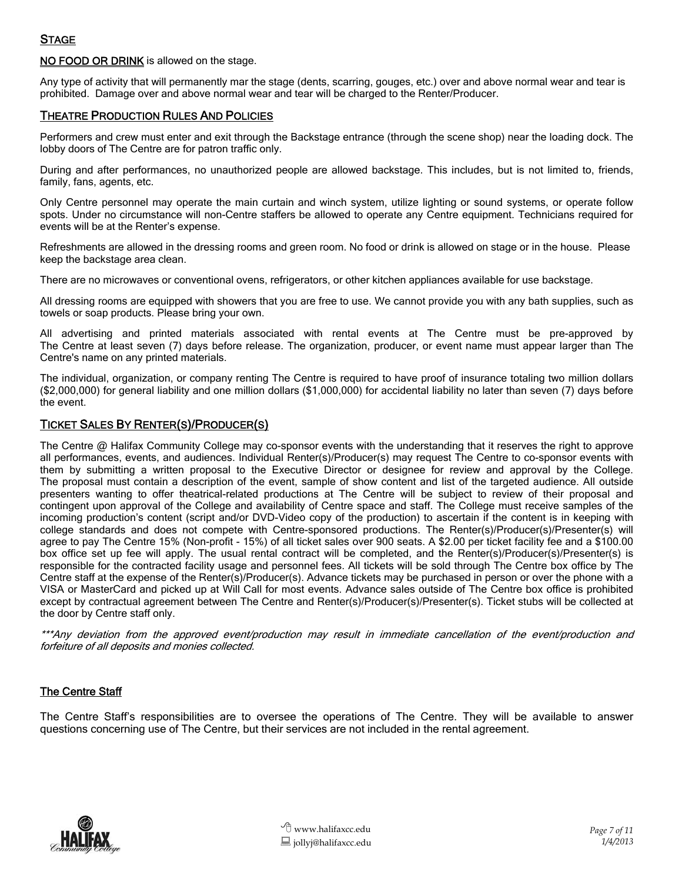NO FOOD OR DRINK is allowed on the stage.

Any type of activity that will permanently mar the stage (dents, scarring, gouges, etc.) over and above normal wear and tear is prohibited. Damage over and above normal wear and tear will be charged to the Renter/Producer.

#### **THEATRE PRODUCTION RULES AND POLICIES**

Performers and crew must enter and exit through the Backstage entrance (through the scene shop) near the loading dock. The lobby doors of The Centre are for patron traffic only.

During and after performances, no unauthorized people are allowed backstage. This includes, but is not limited to, friends, family, fans, agents, etc.

Only Centre personnel may operate the main curtain and winch system, utilize lighting or sound systems, or operate follow spots. Under no circumstance will non-Centre staffers be allowed to operate any Centre equipment. Technicians required for events will be at the Renter's expense.

Refreshments are allowed in the dressing rooms and green room. No food or drink is allowed on stage or in the house. Please keep the backstage area clean.

There are no microwaves or conventional ovens, refrigerators, or other kitchen appliances available for use backstage.

All dressing rooms are equipped with showers that you are free to use. We cannot provide you with any bath supplies, such as towels or soap products. Please bring your own.

All advertising and printed materials associated with rental events at The Centre must be pre-approved by The Centre at least seven (7) days before release. The organization, producer, or event name must appear larger than The Centre's name on any printed materials.

The individual, organization, or company renting The Centre is required to have proof of insurance totaling two million dollars (\$2,000,000) for general liability and one million dollars (\$1,000,000) for accidental liability no later than seven (7) days before the event.

#### TICKET SALES BY RENTER(S)/PRODUCER(S)

The Centre @ Halifax Community College may co-sponsor events with the understanding that it reserves the right to approve all performances, events, and audiences. Individual Renter(s)/Producer(s) may request The Centre to co-sponsor events with them by submitting a written proposal to the Executive Director or designee for review and approval by the College. The proposal must contain a description of the event, sample of show content and list of the targeted audience. All outside presenters wanting to offer theatrical-related productions at The Centre will be subject to review of their proposal and contingent upon approval of the College and availability of Centre space and staff. The College must receive samples of the incoming production's content (script and/or DVD-Video copy of the production) to ascertain if the content is in keeping with college standards and does not compete with Centre-sponsored productions. The Renter(s)/Producer(s)/Presenter(s) will agree to pay The Centre 15% (Non-profit - 15%) of all ticket sales over 900 seats. A \$2.00 per ticket facility fee and a \$100.00 box office set up fee will apply. The usual rental contract will be completed, and the Renter(s)/Producer(s)/Presenter(s) is responsible for the contracted facility usage and personnel fees. All tickets will be sold through The Centre box office by The Centre staff at the expense of the Renter(s)/Producer(s). Advance tickets may be purchased in person or over the phone with a VISA or MasterCard and picked up at Will Call for most events. Advance sales outside of The Centre box office is prohibited except by contractual agreement between The Centre and Renter(s)/Producer(s)/Presenter(s). Ticket stubs will be collected at the door by Centre staff only.

\*\*\*Any deviation from the approved event/production may result in immediate cancellation of the event/production and forfeiture of all deposits and monies collected.

#### **The Centre Staff**

The Centre Staff's responsibilities are to oversee the operations of The Centre. They will be available to answer questions concerning use of The Centre, but their services are not included in the rental agreement.

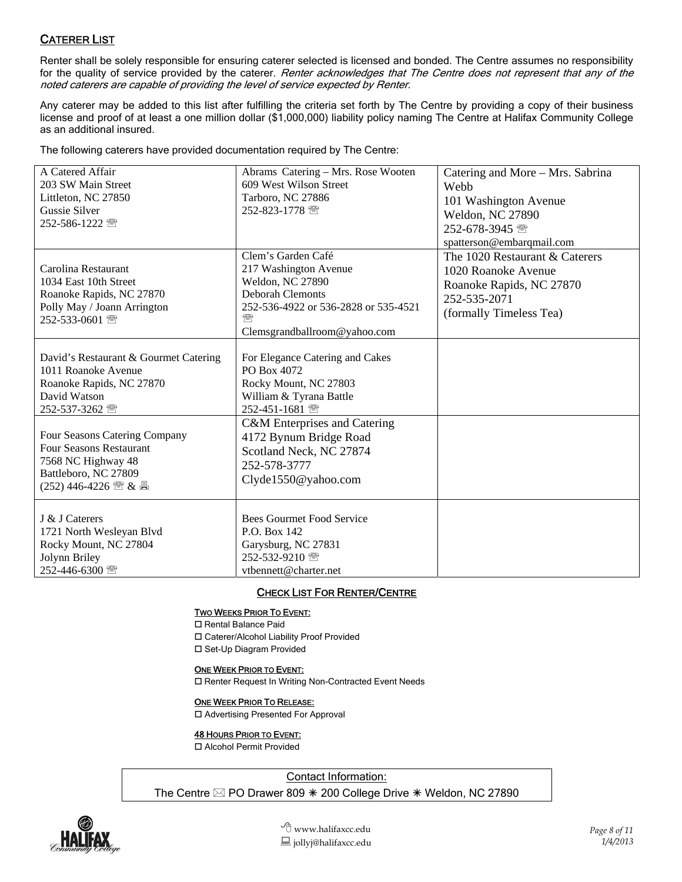### CATERER LIST

Renter shall be solely responsible for ensuring caterer selected is licensed and bonded. The Centre assumes no responsibility for the quality of service provided by the caterer. Renter acknowledges that The Centre does not represent that any of the noted caterers are capable of providing the level of service expected by Renter.

Any caterer may be added to this list after fulfilling the criteria set forth by The Centre by providing a copy of their business license and proof of at least a one million dollar (\$1,000,000) liability policy naming The Centre at Halifax Community College as an additional insured.

The following caterers have provided documentation required by The Centre:

| A Catered Affair                      | Abrams Catering - Mrs. Rose Wooten   | Catering and More – Mrs. Sabrina |
|---------------------------------------|--------------------------------------|----------------------------------|
| 203 SW Main Street                    | 609 West Wilson Street               | Webb                             |
| Littleton, NC 27850                   | Tarboro, NC 27886                    | 101 Washington Avenue            |
| <b>Gussie Silver</b>                  | 252-823-1778 图                       | <b>Weldon, NC 27890</b>          |
| 252-586-1222 需                        |                                      |                                  |
|                                       |                                      | 252-678-3945 图                   |
|                                       |                                      | spatterson@embarqmail.com        |
|                                       | Clem's Garden Café                   | The 1020 Restaurant & Caterers   |
| Carolina Restaurant                   | 217 Washington Avenue                | 1020 Roanoke Avenue              |
| 1034 East 10th Street                 | Weldon, NC 27890                     | Roanoke Rapids, NC 27870         |
| Roanoke Rapids, NC 27870              | <b>Deborah Clemonts</b>              | 252-535-2071                     |
| Polly May / Joann Arrington           | 252-536-4922 or 536-2828 or 535-4521 | (formally Timeless Tea)          |
| 252-533-0601 图                        | ₩                                    |                                  |
|                                       | Clemsgrandballroom@yahoo.com         |                                  |
|                                       |                                      |                                  |
| David's Restaurant & Gourmet Catering | For Elegance Catering and Cakes      |                                  |
| 1011 Roanoke Avenue                   | PO Box 4072                          |                                  |
| Roanoke Rapids, NC 27870              | Rocky Mount, NC 27803                |                                  |
| David Watson                          | William & Tyrana Battle              |                                  |
| 252-537-3262 2                        | 252-451-1681 图                       |                                  |
|                                       | C&M Enterprises and Catering         |                                  |
| Four Seasons Catering Company         | 4172 Bynum Bridge Road               |                                  |
| <b>Four Seasons Restaurant</b>        | Scotland Neck, NC 27874              |                                  |
| 7568 NC Highway 48                    | 252-578-3777                         |                                  |
| Battleboro, NC 27809                  |                                      |                                  |
|                                       | Clyde1550@yahoo.com                  |                                  |
|                                       |                                      |                                  |
|                                       |                                      |                                  |
| J & J Caterers                        | <b>Bees Gourmet Food Service</b>     |                                  |
| 1721 North Wesleyan Blvd              | P.O. Box 142                         |                                  |
| Rocky Mount, NC 27804                 | Garysburg, NC 27831                  |                                  |
| Jolynn Briley                         | 252-532-9210 图                       |                                  |
| 252-446-6300 2                        | vtbennett@charter.net                |                                  |

#### CHECK LIST FOR RENTER/CENTRE

#### TWO WEEKS PRIOR TO EVENT:

□ Rental Balance Paid

Caterer/Alcohol Liability Proof Provided

□ Set-Up Diagram Provided

#### ONE WEEK PRIOR TO EVENT:

□ Renter Request In Writing Non-Contracted Event Needs

#### ONE WEEK PRIOR TO RELEASE:

□ Advertising Presented For Approval

#### **48 HOURS PRIOR TO EVENT:**

Alcohol Permit Provided

Contact Information:

The Centre  $\boxtimes$  PO Drawer 809  $*$  200 College Drive  $*$  Weldon, NC 27890

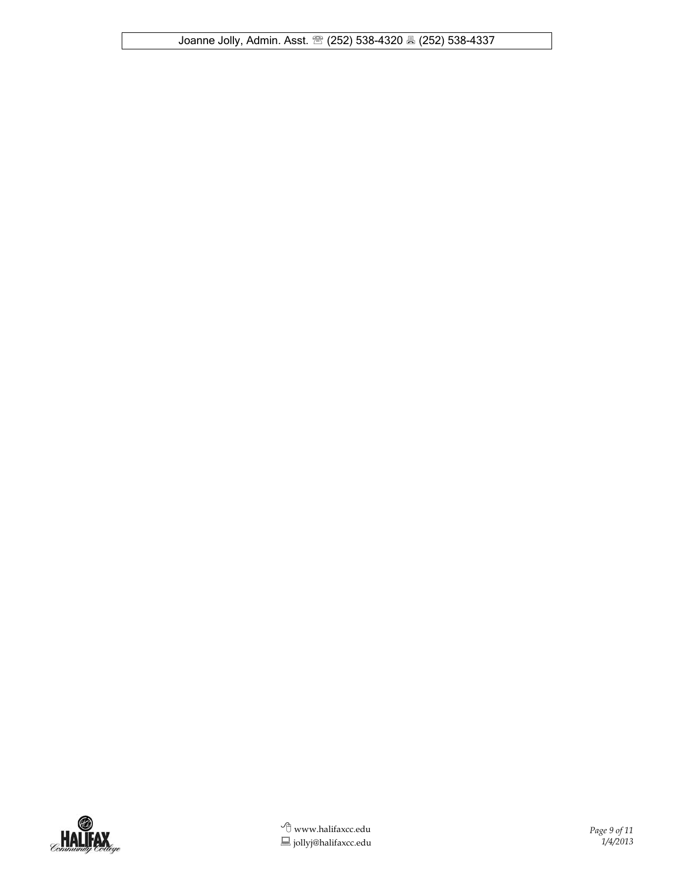Joanne Jolly, Admin. Asst. (252) 538-4320 (252) 538-4337

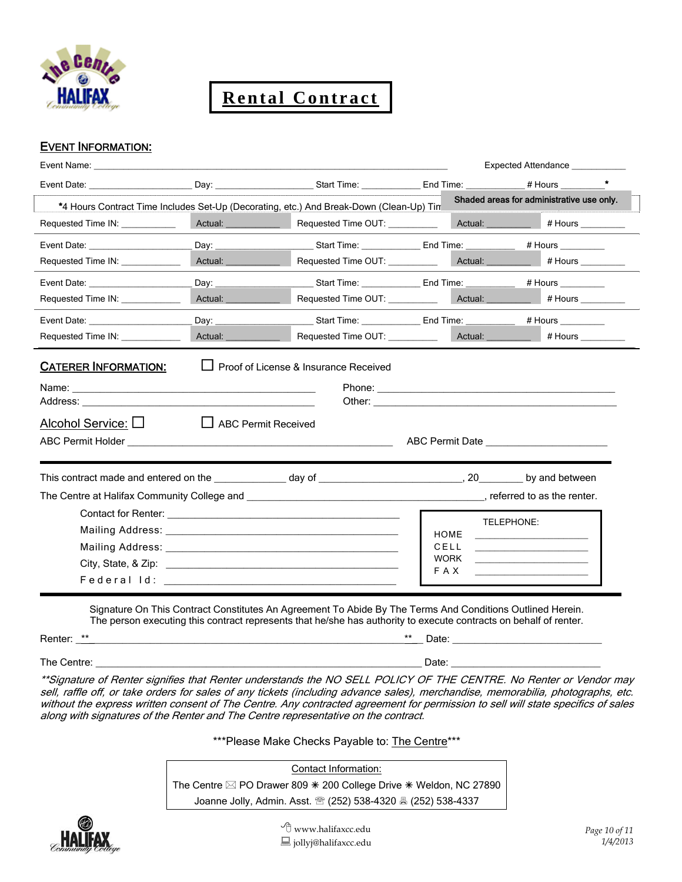

**Rental Contract**

#### EVENT INFORMATION:

| Event Name: The Contract of the Contract of the Contract of the Contract of the Contract of the Contract of the Contract of the Contract of the Contract of the Contract of the Contract of the Contract of the Contract of th | the control of the control of the control of the control of the control of                                                                                                                                                     |                                                                                                                                                                                                                                |                              |                    | Expected Attendance ___________                                                                                       |
|--------------------------------------------------------------------------------------------------------------------------------------------------------------------------------------------------------------------------------|--------------------------------------------------------------------------------------------------------------------------------------------------------------------------------------------------------------------------------|--------------------------------------------------------------------------------------------------------------------------------------------------------------------------------------------------------------------------------|------------------------------|--------------------|-----------------------------------------------------------------------------------------------------------------------|
|                                                                                                                                                                                                                                |                                                                                                                                                                                                                                |                                                                                                                                                                                                                                |                              |                    |                                                                                                                       |
| *4 Hours Contract Time Includes Set-Up (Decorating, etc.) And Break-Down (Clean-Up) Tin                                                                                                                                        |                                                                                                                                                                                                                                |                                                                                                                                                                                                                                |                              |                    | Shaded areas for administrative use only.                                                                             |
| Requested Time IN: ___________                                                                                                                                                                                                 |                                                                                                                                                                                                                                | Actual: _______________ Requested Time OUT: ____________ Actual: _________ # Hours ________                                                                                                                                    |                              |                    |                                                                                                                       |
|                                                                                                                                                                                                                                |                                                                                                                                                                                                                                | ______ Start Time: _______________ End Time: _____________ # Hours _________                                                                                                                                                   |                              |                    |                                                                                                                       |
| Requested Time IN: ____________                                                                                                                                                                                                | Actual: Actual: Actual: Actual: Actual: Actual: Actual: Actual: Actual: Actual: Actual: Actual: Actual: Actual: Actual: Actual: Actual: Actual: Actual: Actual: Actual: Actual: Actual: Actual: Actual: Actual: Actual: Actual | Requested Time OUT: _____________ Actual: __________ # Hours ________                                                                                                                                                          |                              |                    |                                                                                                                       |
|                                                                                                                                                                                                                                |                                                                                                                                                                                                                                | ______ Start Time: ________________ End Time: _____________ # Hours ___________                                                                                                                                                |                              |                    |                                                                                                                       |
| Requested Time IN: ____________                                                                                                                                                                                                | Actual: New York Change of The Change of The Change of The Change of The Change of The Change of The Change of The Change of The Change of The Change of The Change of The Change of The Change of The Change of The Change of | Requested Time OUT: __________                                                                                                                                                                                                 |                              |                    |                                                                                                                       |
| Event Date: The Contract of the Contract of the Contract of the Contract of the Contract of the Contract of the Contract of the Contract of the Contract of the Contract of the Contract of the Contract of the Contract of th |                                                                                                                                                                                                                                | Day: _________________________Start Time: _______________End Time: _____________ # Hours __________                                                                                                                            |                              |                    |                                                                                                                       |
| Requested Time IN: _____________                                                                                                                                                                                               | Actual: <u>Actual: Actual: Actual:</u>                                                                                                                                                                                         | Requested Time OUT: __________                                                                                                                                                                                                 |                              |                    |                                                                                                                       |
| <b>CATERER INFORMATION:</b>                                                                                                                                                                                                    |                                                                                                                                                                                                                                | Proof of License & Insurance Received                                                                                                                                                                                          |                              |                    |                                                                                                                       |
| Alcohol Service: $\square$                                                                                                                                                                                                     | $\Box$<br><b>ABC Permit Received</b>                                                                                                                                                                                           |                                                                                                                                                                                                                                |                              |                    | ABC Permit Date <b>ABC</b> Permit Date                                                                                |
|                                                                                                                                                                                                                                |                                                                                                                                                                                                                                |                                                                                                                                                                                                                                |                              |                    |                                                                                                                       |
|                                                                                                                                                                                                                                |                                                                                                                                                                                                                                |                                                                                                                                                                                                                                |                              |                    |                                                                                                                       |
|                                                                                                                                                                                                                                |                                                                                                                                                                                                                                |                                                                                                                                                                                                                                | CELL<br><b>WORK</b><br>F A X | TELEPHONE:<br>HOME | <u> 2008 - Andrea State Barbara, amerikan personal di personal dengan personal dengan personal dengan personal de</u> |
| Renter: **                                                                                                                                                                                                                     |                                                                                                                                                                                                                                | Signature On This Contract Constitutes An Agreement To Abide By The Terms And Conditions Outlined Herein.<br>The person executing this contract represents that he/she has authority to execute contracts on behalf of renter. |                              |                    |                                                                                                                       |

The Centre: \_\_\_\_\_\_\_\_\_\_\_\_\_\_\_\_\_\_\_\_\_\_\_\_\_\_\_\_\_\_\_\_\_\_\_\_\_\_\_\_\_\_\_\_\_\_\_\_\_\_\_\_\_\_\_\_\_\_\_ Date: \_\_\_\_\_\_\_\_\_\_\_\_\_\_\_\_\_\_\_\_\_\_\_\_\_\_\_

\*\*Signature of Renter signifies that Renter understands the NO SELL POLICY OF THE CENTRE. No Renter or Vendor may sell, raffle off, or take orders for sales of any tickets (including advance sales), merchandise, memorabilia, photographs, etc. without the express written consent of The Centre. Any contracted agreement for permission to sell will state specifics of sales along with signatures of the Renter and The Centre representative on the contract.

\*\*\*Please Make Checks Payable to: The Centre\*\*\*

Contact Information: The Centre  $\boxtimes$  PO Drawer 809  $*$  200 College Drive  $*$  Weldon, NC 27890 Joanne Jolly, Admin. Asst. (252) 538-4320 (252) 538-4337